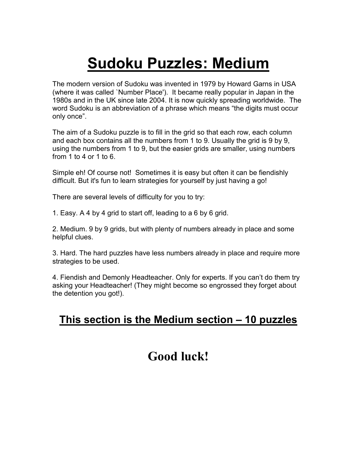# **Sudoku Puzzles: Medium**

The modern version of Sudoku was invented in 1979 by Howard Garns in USA (where it was called `Number Place'). It became really popular in Japan in the 1980s and in the UK since late 2004. It is now quickly spreading worldwide. The word Sudoku is an abbreviation of a phrase which means "the digits must occur only once".

The aim of a Sudoku puzzle is to fill in the grid so that each row, each column and each box contains all the numbers from 1 to 9. Usually the grid is 9 by 9, using the numbers from 1 to 9, but the easier grids are smaller, using numbers from 1 to 4 or 1 to 6.

Simple eh! Of course not! Sometimes it is easy but often it can be fiendishly difficult. But it's fun to learn strategies for yourself by just having a go!

There are several levels of difficulty for you to try:

1. Easy. A 4 by 4 grid to start off, leading to a 6 by 6 grid.

2. Medium. 9 by 9 grids, but with plenty of numbers already in place and some helpful clues.

3. Hard. The hard puzzles have less numbers already in place and require more strategies to be used.

4. Fiendish and Demonly Headteacher. Only for experts. If you can't do them try asking your Headteacher! (They might become so engrossed they forget about the detention you got!).

# **This section is the Medium section – 10 puzzles**

# **Good luck!**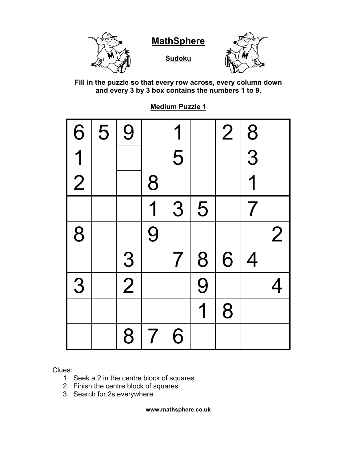

**Fill in the puzzle so that every row across, every column down and every 3 by 3 box contains the numbers 1 to 9.**

**Medium Puzzle 1**

| $\boxed{6}$ | 5 | 9             |                         | 1                        |                         | $\overline{2}$ | $\frac{8}{1}$  |                |
|-------------|---|---------------|-------------------------|--------------------------|-------------------------|----------------|----------------|----------------|
| 1           |   |               |                         | 5                        |                         |                | $\overline{3}$ |                |
| $\boxed{C}$ |   |               | 8                       |                          |                         |                | 1              |                |
|             |   |               | $\overline{\mathbf{1}}$ | 3                        | 5                       |                | 7              |                |
| 8           |   |               | $\overline{9}$          |                          |                         |                |                | $\overline{2}$ |
|             |   | $\frac{3}{2}$ |                         | $\overline{\mathcal{I}}$ | 8                       | 6              | $\overline{4}$ |                |
| 3           |   |               |                         |                          | $\overline{9}$          |                |                | 4              |
|             |   |               |                         |                          | $\overline{\mathbf{1}}$ | 8              |                |                |
|             |   | 8             | $\overline{7}$          | 6                        |                         |                |                |                |

Clues:

- 1. Seek a 2 in the centre block of squares
- 2. Finish the centre block of squares
- 3. Search for 2s everywhere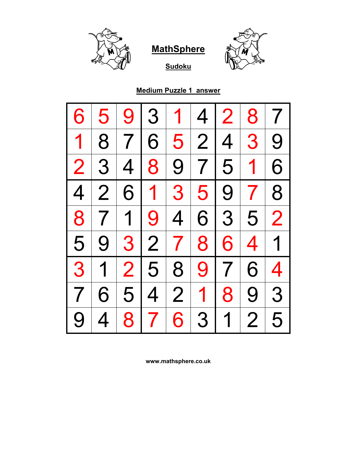

**Sudoku**



## **Medium Puzzle 1 answer**

| 6                        | 5              | 9              | 3              | 1               | 4              | 2              | 8               | $\overline{\mathcal{I}}$ |
|--------------------------|----------------|----------------|----------------|-----------------|----------------|----------------|-----------------|--------------------------|
| $\mathbf 1$              | 8              | 7              | 6              | 5 <sup>1</sup>  |                | 2 4            | 3 <sup>1</sup>  | 9                        |
| $\overline{2}$           | 3              | $\overline{4}$ | 8 <sup>1</sup> | 9 <sup>1</sup>  |                | 7 5            | $\overline{1}$  | 6                        |
| $\overline{4}$           | $\overline{2}$ |                | $6 1 $         | 3               | 5              | 9 <sub>1</sub> | 7 <sup>1</sup>  | 8                        |
| 8                        | 7 <sup>1</sup> | $\overline{1}$ | 9              | $\vert 4 \vert$ |                | 6 3            | 5 <sup>1</sup>  | $\overline{2}$           |
| 5                        | 9              |                | 3 2 7          |                 | 8              | 6              | $\vert 4 \vert$ | $\overline{1}$           |
| 3                        | $\overline{1}$ | 2 <sup>1</sup> |                | 5 8             |                | 9 7            | 6 <sup>1</sup>  | $\overline{4}$           |
| $\overline{\mathcal{I}}$ | 6              |                | 5 4            | $\overline{2}$  | 1 <sup>1</sup> | 8              | 9 <sup>1</sup>  | 3                        |
| 9                        | 4              | 8 <sup>1</sup> | 7 <sup>1</sup> | 6               | 3              | $\overline{1}$ | $\overline{2}$  | 5                        |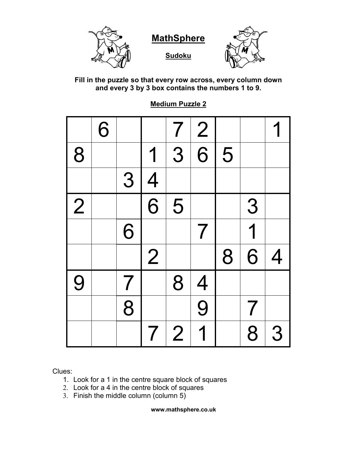

**Sudoku**



**Fill in the puzzle so that every row across, every column down and every 3 by 3 box contains the numbers 1 to 9.**

**Medium Puzzle 2**

|                | 6 |                          |                          | $\overline{\mathcal{I}}$ | 2              |   |                          |   |
|----------------|---|--------------------------|--------------------------|--------------------------|----------------|---|--------------------------|---|
| 8              |   |                          | 1                        | $\overline{3}$           | $\overline{6}$ | 5 |                          |   |
|                |   | 3                        | $\overline{4}$           |                          |                |   |                          |   |
| $\overline{2}$ |   |                          | $\overline{6}$           | 5                        |                |   | 3                        |   |
|                |   | 6                        |                          |                          | 7              |   | $\overline{\mathbf{1}}$  |   |
|                |   |                          | $\overline{2}$           |                          |                | 8 | 6                        | 4 |
| 9              |   | $\overline{\mathcal{L}}$ |                          | 8                        | $\overline{4}$ |   |                          |   |
|                |   | 8                        |                          |                          | $\overline{9}$ |   | $\overline{\mathcal{L}}$ |   |
|                |   |                          | $\overline{\mathcal{I}}$ | $\overline{2}$           | 1              |   | 8                        | 3 |

Clues:

- 1. Look for a 1 in the centre square block of squares
- 2. Look for a 4 in the centre block of squares
- 3. Finish the middle column (column 5)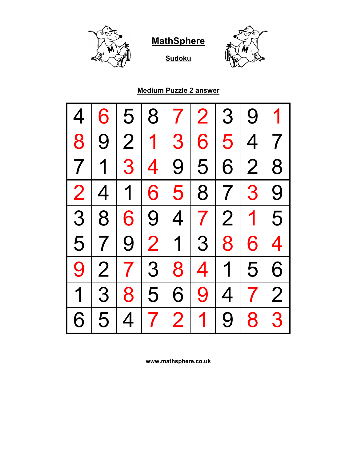





**Medium Puzzle 2 answer**

| 4                        | 6               | 5           | 8                    | $\mathcal{T}$  | 2 <sub>1</sub> | 3              | 9              |                         |
|--------------------------|-----------------|-------------|----------------------|----------------|----------------|----------------|----------------|-------------------------|
| 8                        | 9               |             | 2 1                  | 3              | 6              | 5 <sup>1</sup> | 4              | 7 <sup>1</sup>          |
| $\overline{\phantom{a}}$ | $\overline{1}$  | 3 4         |                      |                | 9 5            | 6              | $\overline{2}$ | 8                       |
| $\overline{2}$           | $\overline{4}$  | $\mathbf 1$ | 6                    | 5 <sup>1</sup> | 8              |                | 7 3            | 9                       |
| 3                        | 8               | 6           | $\mid 9 \mid 4 \mid$ |                |                |                | 7 2 1          | 5                       |
| 5                        | $\mathbf{7}$    |             | 9 2 1 3              |                |                | 8              | 6              | $\overline{\mathbf{4}}$ |
| 9                        | $\overline{2}$  |             | 7 3 8                |                | 4              | 1              | 5              | 6                       |
| $\overline{1}$           | $3\overline{3}$ | 8           | 5                    | 6              | 9              | $\overline{4}$ | 7 <sup>1</sup> | $\overline{2}$          |
| 6                        | 5               | 4           | 7 <sup>1</sup>       | 2              | $\mathbf 1$    | 9              | 8 <sup>1</sup> | 3                       |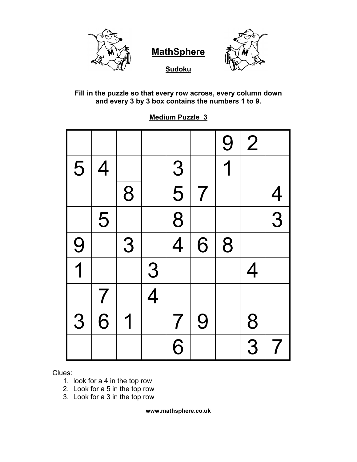

**Sudoku**



**Fill in the puzzle so that every row across, every column down and every 3 by 3 box contains the numbers 1 to 9.**

**Medium Puzzle 3**

|                         |                |   |                |                          |                          | 9 | $\overline{2}$ |                          |
|-------------------------|----------------|---|----------------|--------------------------|--------------------------|---|----------------|--------------------------|
| 5                       | $\overline{4}$ |   |                |                          |                          | 1 |                |                          |
|                         |                | 8 |                | $\frac{3}{5}$            | $\overline{\mathcal{I}}$ |   |                |                          |
|                         | 5              |   |                | $\overline{8}$           |                          |   |                | $\frac{4}{3}$            |
| 9                       |                | 3 |                | $\frac{1}{4}$            | 6                        | 8 |                |                          |
| $\overline{\mathbf{1}}$ |                |   | $\overline{3}$ |                          |                          |   | 4              |                          |
|                         | $\overline{7}$ |   | $\overline{4}$ |                          |                          |   |                |                          |
| 3                       | 6              | 1 |                | $\overline{\mathcal{I}}$ | 9                        |   | 8              |                          |
|                         |                |   |                | $\overline{6}$           |                          |   | $\overline{3}$ | $\overline{\mathcal{L}}$ |

Clues:

- 1. look for a 4 in the top row
- 2. Look for a 5 in the top row
- 3. Look for a 3 in the top row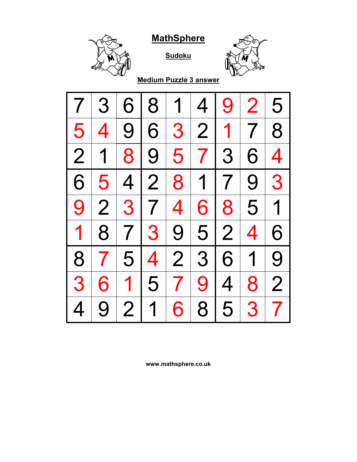

**Sudoku**



**Medium Puzzle 3 answer**

| 7              | 3                       | 6              | 8              | 1               | $\overline{4}$ | 9              | $\overline{2}$ | 5                        |
|----------------|-------------------------|----------------|----------------|-----------------|----------------|----------------|----------------|--------------------------|
| 5              | 4                       | 9              | 6              | 3 <sup>1</sup>  | 2              |                | 1 7            | 8                        |
| $\overline{2}$ | $\mathbf 1$             | 8 <sup>1</sup> |                | 9 5             |                | 7 3            | 6              | $\overline{\mathcal{A}}$ |
| 6              | 5 <sup>1</sup>          | 4              | 2              |                 | 8 1 7          |                | 9 <sup>1</sup> | 3                        |
| 9              | $\overline{2}$          |                | 3 7            | $\vert 4 \vert$ | 6              | 8 <sup>1</sup> | $\overline{5}$ | $\overline{1}$           |
| $\mathbf 1$    | 8                       |                |                |                 | 7 3 9 5 2      |                | $\overline{4}$ | 6                        |
| 8              | $\overline{\mathbf{7}}$ |                | 5 4            | 2               |                | 3 6            | 1              | 9                        |
| 3              | 6                       | $\mathbf 1$    | 5 <sup>1</sup> | 7 <sup>1</sup>  | 9              | 4 <sup>1</sup> | 8 <sup>1</sup> | $\overline{2}$           |
| 4              | 9                       | $\overline{2}$ | 1              | 6               | 8              | 5              | 3              | $\overline{\mathbf{7}}$  |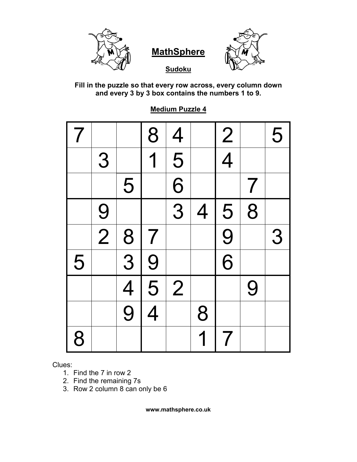

**Sudoku**



**Fill in the puzzle so that every row across, every column down and every 3 by 3 box contains the numbers 1 to 9.**

| 7 |               |                             | 8              | $\overline{4}$            |                | $\frac{2}{4}$  |   | 5 |
|---|---------------|-----------------------------|----------------|---------------------------|----------------|----------------|---|---|
|   | 3             |                             | $\overline{1}$ | $\overline{\overline{5}}$ |                |                |   |   |
|   |               | 5                           |                | $\overline{6}$            |                |                | 7 |   |
|   |               |                             |                | $\frac{1}{3}$             | $\overline{4}$ | $\overline{5}$ | 8 |   |
|   | $\frac{9}{2}$ |                             | $\overline{7}$ |                           |                | $\frac{9}{6}$  |   | 3 |
| 5 |               | $\frac{8}{3}$ $\frac{4}{9}$ | $\overline{9}$ |                           |                |                |   |   |
|   |               |                             | $\overline{5}$ | $\overline{2}$            |                |                | 9 |   |
|   |               |                             | $\overline{4}$ |                           | 8              |                |   |   |
| 8 |               |                             |                |                           |                |                |   |   |

**Medium Puzzle 4**

Clues:

- 1. Find the 7 in row 2
- 2. Find the remaining 7s
- 3. Row 2 column 8 can only be 6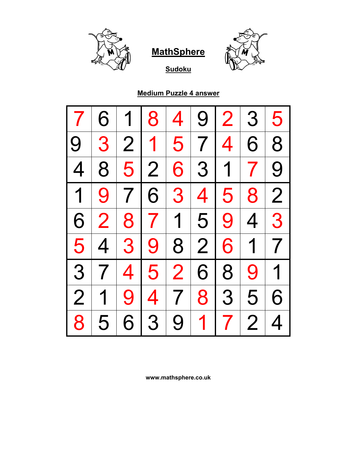



**Sudoku**

## **Medium Puzzle 4 answer**

|                | 6              |                | 8                             | 4              | 9                        | $\overline{2}$           | 3              | 5              |
|----------------|----------------|----------------|-------------------------------|----------------|--------------------------|--------------------------|----------------|----------------|
| 9              | 3              | $\overline{2}$ | $\mathbf 1$<br>L              | 5              | $\overline{7}$           | 4                        | 6              | 8              |
| $\overline{4}$ | 8              | 5              | $\overline{2}$                | 6              | 3                        | 1 <sub>1</sub>           | 7 <sup>1</sup> | 9              |
| $\overline{1}$ | 9              | $\overline{7}$ | 6<br>$\mathsf{I}$             | 3              | $\overline{\mathcal{A}}$ | 5                        | 8              | $\overline{2}$ |
| 6              | $\overline{2}$ |                | 8 7                           | $\overline{1}$ | 5                        | 9                        | $\overline{4}$ | 3              |
| 5              | $\overline{4}$ | 3              | 9<br>$\overline{\phantom{a}}$ | 8              | 2                        | 6                        | $\overline{1}$ | $\overline{7}$ |
| 3              | 7 <sup>1</sup> | 4 <sup>1</sup> | 5 <sup>1</sup>                | $\overline{2}$ | 6                        | 8                        | 9              | 1              |
| $\overline{2}$ | 1              | <b>9</b> l     | $\overline{\mathcal{A}}$      | 7 <sup>1</sup> | 8                        | 3                        | 5              | 6              |
| 8              | 5              | 6              | 3                             | 9              | $\overline{1}$           | $\overline{\mathcal{L}}$ | $\overline{2}$ | 4              |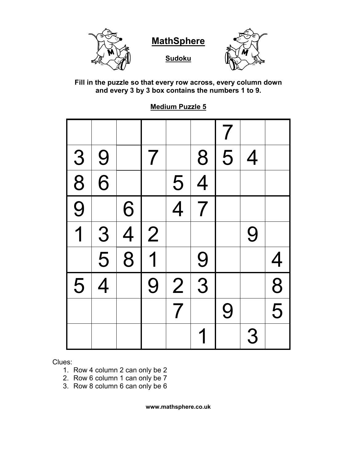

**Sudoku**



**Fill in the puzzle so that every row across, every column down and every 3 by 3 box contains the numbers 1 to 9.**

**Medium Puzzle 5**

|                |                |                |                |                |                | $\overline{7}$ |   |                           |
|----------------|----------------|----------------|----------------|----------------|----------------|----------------|---|---------------------------|
| $\overline{3}$ | 9              |                | $\overline{7}$ |                | 8              | 5              | 4 |                           |
| $\overline{8}$ | $\overline{6}$ |                |                | 5              | $\overline{4}$ |                |   |                           |
| $\overline{9}$ |                | 6              |                | $\overline{4}$ | $\overline{7}$ |                |   |                           |
| $\overline{1}$ | 3              | $\overline{4}$ | $\overline{2}$ |                |                |                | 9 |                           |
|                | $\overline{5}$ | $\overline{8}$ | 1              |                | 9              |                |   | $\overline{4}$            |
| 5              | $\overline{4}$ |                | 9              | $\overline{2}$ | $\overline{3}$ |                |   | $\overline{8}$            |
|                |                |                |                | $\overline{7}$ |                | 9              |   | $\overline{\overline{5}}$ |
|                |                |                |                |                |                |                | 3 |                           |

Clues:

- 1. Row 4 column 2 can only be 2
- 2. Row 6 column 1 can only be 7
- 3. Row 8 column 6 can only be 6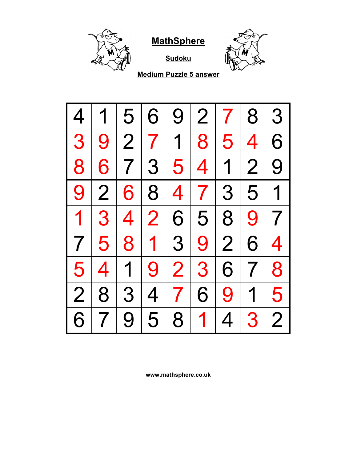

**Sudoku**



**Medium Puzzle 5 answer**

| 4              |                         | 5 <sub>1</sub> | 6           | 9              | $\overline{2}$ | $\mathcal{I}$  | 8                       | 3                        |
|----------------|-------------------------|----------------|-------------|----------------|----------------|----------------|-------------------------|--------------------------|
| 3              | 9 <sup>1</sup>          |                | 2 7 1       |                |                | 815            | $\overline{\mathbf{4}}$ | 6                        |
| 8              | 6                       |                | 7 3         |                | 5 4 1 2        |                |                         | 9                        |
| 9              | $\overline{2}$          |                | 6 8         |                | 4 7 3 5 1      |                |                         |                          |
| $\mathbf 1$    | 3 <sup>1</sup>          | 4 <sup>1</sup> | 2           | 6 <sup>1</sup> |                | 5 8            | 9                       | $\overline{7}$           |
| $7\,$          | 5 <sup>1</sup>          | 8              | $\mathbf 1$ | 3 <sup>1</sup> |                | $9 \mid 2$     | 6                       | $\overline{\mathcal{A}}$ |
| 5 <sup>1</sup> | $\overline{\mathbf{4}}$ | 1 <sup>1</sup> | 9           | 2 <sub>1</sub> |                | 3 6            | 7 <sup>1</sup>          | 8                        |
| $\overline{2}$ | 8                       |                | 3 4         | 7 <sup>1</sup> | 6              | 9              | $\overline{1}$          | 5                        |
| 6              |                         | 9              | 5           | 8              | $\mathbf 1$    | $\overline{4}$ | 3                       | $\overline{2}$           |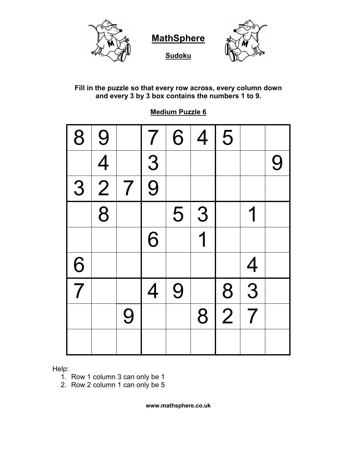



**Sudoku**



#### **Fill in the puzzle so that every row across, every column down and every 3 by 3 box contains the numbers 1 to 9.**

| 8             | 9              |                | $\overline{7}$ | 6 | $\overline{4}$ | 5              |                |   |
|---------------|----------------|----------------|----------------|---|----------------|----------------|----------------|---|
|               | $\overline{4}$ |                | $\overline{9}$ |   |                |                |                | 9 |
| 3             | $\overline{2}$ | $\overline{7}$ |                |   |                |                |                |   |
|               | $\overline{8}$ |                |                | 5 | 3              |                | 1              |   |
|               |                |                | 6              |   | 1              |                |                |   |
| $\frac{6}{7}$ |                |                |                |   |                |                | $\overline{4}$ |   |
|               |                |                | $\overline{4}$ | 9 |                | 8              | $\overline{3}$ |   |
|               |                | 9              |                |   | 8              | $\overline{2}$ | $\overline{7}$ |   |
|               |                |                |                |   |                |                |                |   |

#### **Medium Puzzle 6**

Help:

- 1. Row 1 column 3 can only be 1
- 2. Row 2 column 1 can only be 5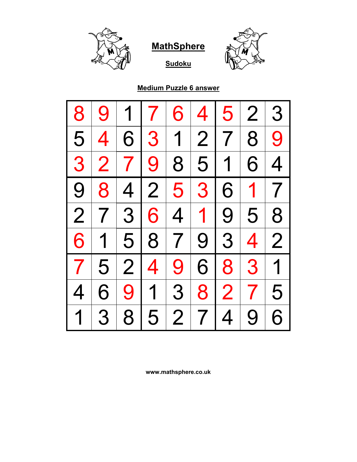





#### **Medium Puzzle 6 answer**

| 8              | 9              | 1              | 7              | 6              | 4              | 5              | 2 <sup>1</sup>  | 3              |
|----------------|----------------|----------------|----------------|----------------|----------------|----------------|-----------------|----------------|
| 5              | 4              | 6              | 3 <sup>1</sup> | $\overline{1}$ |                | 2 7            | 8               | 9              |
| 3              | $\overline{2}$ | 7 <sup>1</sup> | 9 <sup>1</sup> | 8              | 5              | 1 <sub>1</sub> | 6               | 4              |
| 9              | 8              | 4 <sup>1</sup> | 2              | 5              | 3              | 6              | 1 7             |                |
| $\overline{2}$ | $\overline{7}$ | 3 <sup>1</sup> | 6 <sup>1</sup> | 4              |                | 1 9            | 5 <sup>1</sup>  | 8              |
| 6              | $\mathbf 1$    |                | 5 8            | $\overline{7}$ |                | $9 \mid 3$     | $\vert 4 \vert$ | $\overline{2}$ |
| $\overline{7}$ | 5              | 2 4            |                | 9              | 6              | 8 <sup>1</sup> | 3 <sup>1</sup>  | $\overline{1}$ |
| 4              | 6              |                | $9 \mid 1$     | 3 <sup>1</sup> | 8              | $\overline{2}$ | 7 <sup>1</sup>  | 5              |
| $\overline{1}$ | 3              | 8              | 5              | $\overline{2}$ | $\overline{7}$ | $\overline{4}$ | 9               | 6              |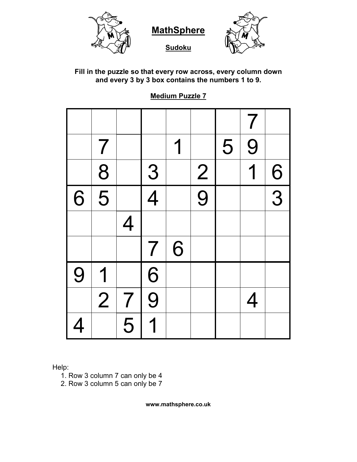







**Fill in the puzzle so that every row across, every column down and every 3 by 3 box contains the numbers 1 to 9.**

**Medium Puzzle 7**

|          |                           |                |                |   |               |   | $\overline{\mathcal{I}}$ |               |
|----------|---------------------------|----------------|----------------|---|---------------|---|--------------------------|---------------|
|          | $\overline{7}$            |                |                | 1 |               | 5 | 9                        |               |
|          | 8                         |                | $\frac{3}{4}$  |   |               |   | 1                        |               |
| 6        | $\overline{\overline{5}}$ |                |                |   | $\frac{2}{9}$ |   |                          | $\frac{6}{3}$ |
|          |                           | 4              |                |   |               |   |                          |               |
|          |                           |                | $\overline{7}$ | 6 |               |   |                          |               |
| 9        | 1                         |                | $\overline{6}$ |   |               |   |                          |               |
|          | $\overline{2}$            | $\overline{7}$ | $\overline{9}$ |   |               |   | $\overline{4}$           |               |
| <u>4</u> |                           | $\overline{5}$ | 1              |   |               |   |                          |               |

Help:

- 1. Row 3 column 7 can only be 4
- 2. Row 3 column 5 can only be 7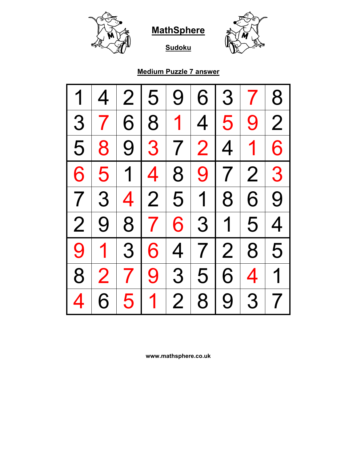



**Sudoku**

# **Medium Puzzle 7 answer**

| 1              | 4              | $\overline{2}$ | 5              | 9              | 6              | 3              | $\mathcal{T}$       | 8              |
|----------------|----------------|----------------|----------------|----------------|----------------|----------------|---------------------|----------------|
| 3              |                | 6              | 8              | 1              | 4              | 5              | 9                   | 2 <sup>1</sup> |
| 5              | 8              |                | 9 3            |                | 7 2            | 4              | $\vert$             | 6              |
| 6              | 5 <sup>1</sup> | $\overline{1}$ | $\overline{4}$ | 8              | 9              | 7 <sup>1</sup> | 2 <sup>1</sup>      | 3              |
| $\overline{7}$ | 3              |                | 4 2            | 5 <sup>1</sup> | 1 <sup>1</sup> | 8              | 6                   | 9              |
| $\overline{2}$ | 9              | 8 <sup>1</sup> | 7 <sup>1</sup> |                | 6 3            | $\overline{1}$ | 5                   | 4              |
| 9              | $\mathbf 1$    | 3 <sup>1</sup> | 6              | 4              |                | 7 2            | 8 <sup>1</sup>      | 5              |
| 8              | $\overline{2}$ | 7 <sup>1</sup> | 9              | 3              | 5 <sup>1</sup> | 6              | $\overline{4} \mid$ | $\overline{1}$ |
|                | 6              | 5              | $\mathbf 1$    | $\overline{2}$ | 8              | 9 <sup>1</sup> | 3                   | 7 <sup>1</sup> |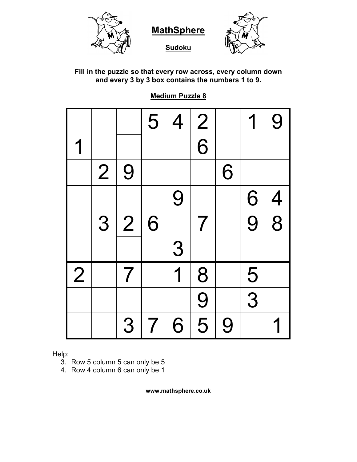

#### **Fill in the puzzle so that every row across, every column down and every 3 by 3 box contains the numbers 1 to 9.**

#### **Medium Puzzle 8**

|                |                |                | 5              | $\overline{4}$          | $\frac{2}{\sqrt{2}}$     |   |               | 9              |
|----------------|----------------|----------------|----------------|-------------------------|--------------------------|---|---------------|----------------|
|                |                |                |                |                         | $\overline{6}$           |   |               |                |
|                | $\overline{2}$ | 9              |                |                         |                          | 6 |               |                |
|                |                |                |                | 9                       |                          |   | 6             | $\overline{4}$ |
|                | 3              | $\overline{2}$ | 6              |                         | $\overline{\mathcal{I}}$ |   | 9             | $\overline{8}$ |
|                |                |                |                | 3                       |                          |   |               |                |
| $\overline{2}$ |                | 7              |                | $\overline{\mathbf{1}}$ | 8                        |   |               |                |
|                |                |                |                |                         | 9                        |   | $\frac{5}{3}$ |                |
|                |                | 3              | $\overline{7}$ | 6                       | $\overline{5}$           | 9 |               |                |

Help:

- 3. Row 5 column 5 can only be 5
- 4. Row 4 column 6 can only be 1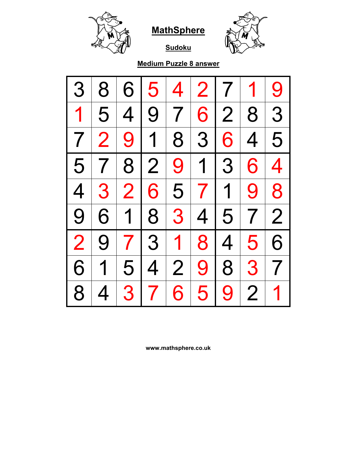





# **Medium Puzzle 8 answer**

| 3              | 8                       | 6              | 5                        | 4              |                | 2 7            | 1              | 9              |
|----------------|-------------------------|----------------|--------------------------|----------------|----------------|----------------|----------------|----------------|
| $\mathbf 1$    | 5                       | $\overline{4}$ | 9 <sup>1</sup>           | 7 <sup>1</sup> | 6              | 2 <sup>1</sup> | 8 <sup>1</sup> | 3              |
| 7 <sup>1</sup> | $\overline{2}$          |                | $9 \mid 1$               |                | 8 3            | 6              | 4              | 5              |
| 5              | 7 <sup>1</sup>          |                | 8 2                      | 9              |                | 1 3            | 6              | $\overline{4}$ |
| $\overline{4}$ | 3 <sup>1</sup>          |                | 2 6                      | 5              | 7 <sup>1</sup> | 1 <sup>1</sup> | 9 <sup>1</sup> | 8              |
| 9              | 6                       | $\mathbf 1$    | 8                        | 3              | 4 <sup>1</sup> | 5              | 7 <sup>1</sup> | $\overline{2}$ |
| $\overline{2}$ | 9                       |                | 7 3 1                    |                | 8              | 4 <sup>1</sup> | 5 <sup>1</sup> | 6              |
| 6              | $\overline{\mathbf{1}}$ |                | 5 4                      | $\overline{2}$ | 9              | 8 <sup>1</sup> | 3 <sup>1</sup> | $\overline{7}$ |
| 8              | 4                       | 3 <sup>1</sup> | $\overline{\mathcal{L}}$ | 6              | 5              | 9              | $\overline{2}$ | 1              |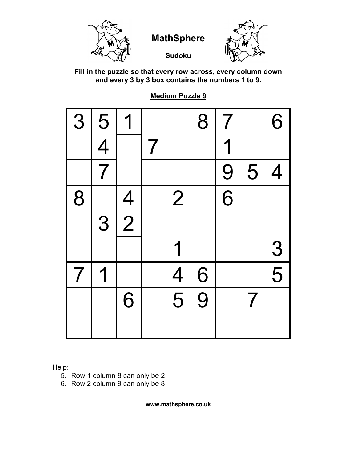

**Sudoku** 



**Fill in the puzzle so that every row across, every column down and every 3 by 3 box contains the numbers 1 to 9.**

**Medium Puzzle 9**

| 3 | 5              | 1              |   |                | 8              | $\overline{7}$ |   | 6             |
|---|----------------|----------------|---|----------------|----------------|----------------|---|---------------|
|   | $\overline{4}$ |                | 7 |                |                | 1              |   |               |
|   | $\overline{7}$ |                |   |                |                | 9              | 5 | 4             |
| 8 |                | $\overline{4}$ |   | $\overline{2}$ |                | $\overline{6}$ |   |               |
|   | 3              | $\overline{2}$ |   |                |                |                |   |               |
|   |                |                |   | 1              |                |                |   | $\frac{3}{5}$ |
| 7 | 1              |                |   | $\overline{4}$ | 6              |                |   |               |
|   |                | 6              |   | $\overline{5}$ | $\overline{9}$ |                | 7 |               |
|   |                |                |   |                |                |                |   |               |

Help:

- 5. Row 1 column 8 can only be 2
- 6. Row 2 column 9 can only be 8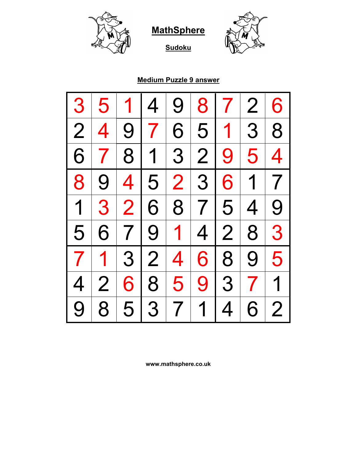



**Sudoku**

#### **Medium Puzzle 9 answer**

| 3                        | 5              |                 | $\overline{4}$ | 9               | 8              | $\mathcal{T}$            | $\overline{2}$          | 6              |
|--------------------------|----------------|-----------------|----------------|-----------------|----------------|--------------------------|-------------------------|----------------|
| $\overline{2}$           | 4              | 9               | 7 <sup>1</sup> | 6               | 5              | 1 <sup>1</sup>           | 3 <sup>1</sup>          | 8              |
| 6                        | $\overline{7}$ |                 | 8 1            | 3 <sup>1</sup>  | 2 <sup>1</sup> | 9                        | 5 <sup>1</sup>          | 4              |
| 8                        | 9 <sub>1</sub> | $\vert 4 \vert$ | 5 <sup>1</sup> |                 | 2 3 6          |                          | 1 7                     |                |
| 1                        | 3 <sup>1</sup> | 2               | 6 <sup>1</sup> |                 | 8 7 5          |                          | 4 <sup>1</sup>          | 9              |
| 5                        | 6 <sup>1</sup> |                 | 7 9 1          |                 |                | 4 2                      | 8 <sup>1</sup>          | 3              |
| $\overline{\phantom{a}}$ | $\mathbf 1$    |                 | 3 2            | $\vert 4 \vert$ |                | 6 8                      | 9 <sup>1</sup>          | 5              |
| $\overline{4}$           | $\overline{2}$ |                 | 68             | $\overline{5}$  |                | $9 \mid 3$               | $\overline{\mathbf{7}}$ | 1              |
| 9                        | 8              | 5               | 3 <sup>1</sup> | 7 <sup>1</sup>  | $\overline{1}$ | $\overline{\mathcal{A}}$ | 6                       | $\overline{2}$ |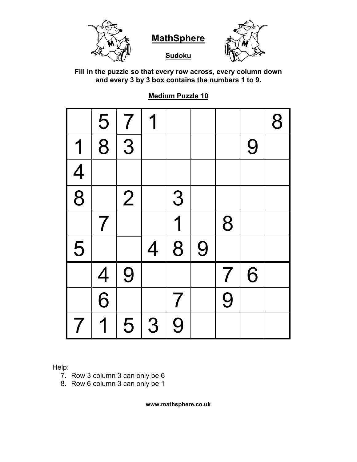

**Sudoku**



**Fill in the puzzle so that every row across, every column down and every 3 by 3 box contains the numbers 1 to 9.**

**Medium Puzzle 10**

|                          | $\frac{5}{8}$  | $\overline{7}$ | 1              |                          |   |                          |   | 8 |
|--------------------------|----------------|----------------|----------------|--------------------------|---|--------------------------|---|---|
| 1                        |                | 3              |                |                          |   |                          | 9 |   |
| $\frac{4}{8}$            |                |                |                |                          |   |                          |   |   |
|                          |                | $\overline{2}$ |                | 3                        |   |                          |   |   |
|                          | $\overline{7}$ |                |                | $\overline{\mathbf{1}}$  |   | 8                        |   |   |
| 5                        |                |                | $\overline{4}$ | $\overline{\mathbf{8}}$  | 9 |                          |   |   |
|                          |                | 9              |                |                          |   | $\overline{\mathcal{I}}$ | 6 |   |
|                          | $\frac{4}{6}$  |                |                | $\overline{\mathcal{L}}$ |   | 9                        |   |   |
| $\overline{\phantom{a}}$ | 1              | 5              | 3              | 9                        |   |                          |   |   |

Help:

- 7. Row 3 column 3 can only be 6
- 8. Row 6 column 3 can only be 1